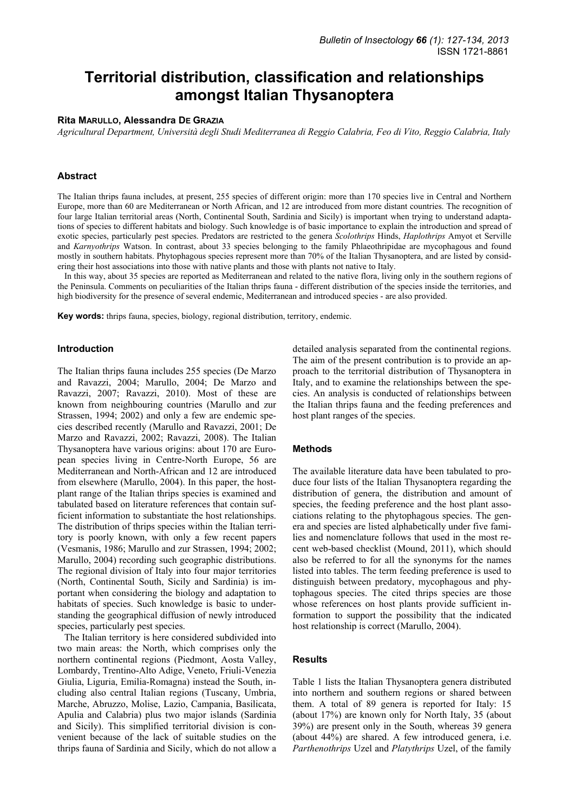# **Territorial distribution, classification and relationships amongst Italian Thysanoptera**

## **Rita MARULLO, Alessandra DE GRAZIA**

*Agricultural Department, Università degli Studi Mediterranea di Reggio Calabria, Feo di Vito, Reggio Calabria, Italy* 

## **Abstract**

The Italian thrips fauna includes, at present, 255 species of different origin: more than 170 species live in Central and Northern Europe, more than 60 are Mediterranean or North African, and 12 are introduced from more distant countries. The recognition of four large Italian territorial areas (North, Continental South, Sardinia and Sicily) is important when trying to understand adaptations of species to different habitats and biology. Such knowledge is of basic importance to explain the introduction and spread of exotic species, particularly pest species. Predators are restricted to the genera *Scolothrips* Hinds, *Haplothrips* Amyot et Serville and *Karnyothrips* Watson. In contrast, about 33 species belonging to the family Phlaeothripidae are mycophagous and found mostly in southern habitats. Phytophagous species represent more than 70% of the Italian Thysanoptera, and are listed by considering their host associations into those with native plants and those with plants not native to Italy.

In this way, about 35 species are reported as Mediterranean and related to the native flora, living only in the southern regions of the Peninsula. Comments on peculiarities of the Italian thrips fauna - different distribution of the species inside the territories, and high biodiversity for the presence of several endemic, Mediterranean and introduced species - are also provided.

**Key words:** thrips fauna, species, biology, regional distribution, territory, endemic.

#### **Introduction**

The Italian thrips fauna includes 255 species (De Marzo and Ravazzi, 2004; Marullo, 2004; De Marzo and Ravazzi, 2007; Ravazzi, 2010). Most of these are known from neighbouring countries (Marullo and zur Strassen, 1994; 2002) and only a few are endemic species described recently (Marullo and Ravazzi, 2001; De Marzo and Ravazzi, 2002; Ravazzi, 2008). The Italian Thysanoptera have various origins: about 170 are European species living in Centre-North Europe, 56 are Mediterranean and North-African and 12 are introduced from elsewhere (Marullo, 2004). In this paper, the hostplant range of the Italian thrips species is examined and tabulated based on literature references that contain sufficient information to substantiate the host relationships. The distribution of thrips species within the Italian territory is poorly known, with only a few recent papers (Vesmanis, 1986; Marullo and zur Strassen, 1994; 2002; Marullo, 2004) recording such geographic distributions. The regional division of Italy into four major territories (North, Continental South, Sicily and Sardinia) is important when considering the biology and adaptation to habitats of species. Such knowledge is basic to understanding the geographical diffusion of newly introduced species, particularly pest species.

The Italian territory is here considered subdivided into two main areas: the North, which comprises only the northern continental regions (Piedmont, Aosta Valley, Lombardy, Trentino-Alto Adige, Veneto, Friuli-Venezia Giulia, Liguria, Emilia-Romagna) instead the South, including also central Italian regions (Tuscany, Umbria, Marche, Abruzzo, Molise, Lazio, Campania, Basilicata, Apulia and Calabria) plus two major islands (Sardinia and Sicily). This simplified territorial division is convenient because of the lack of suitable studies on the thrips fauna of Sardinia and Sicily, which do not allow a

detailed analysis separated from the continental regions. The aim of the present contribution is to provide an approach to the territorial distribution of Thysanoptera in Italy, and to examine the relationships between the species. An analysis is conducted of relationships between the Italian thrips fauna and the feeding preferences and host plant ranges of the species.

## **Methods**

The available literature data have been tabulated to produce four lists of the Italian Thysanoptera regarding the distribution of genera, the distribution and amount of species, the feeding preference and the host plant associations relating to the phytophagous species. The genera and species are listed alphabetically under five families and nomenclature follows that used in the most recent web-based checklist (Mound, 2011), which should also be referred to for all the synonyms for the names listed into tables. The term feeding preference is used to distinguish between predatory, mycophagous and phytophagous species. The cited thrips species are those whose references on host plants provide sufficient information to support the possibility that the indicated host relationship is correct (Marullo, 2004).

## **Results**

Table 1 lists the Italian Thysanoptera genera distributed into northern and southern regions or shared between them. A total of 89 genera is reported for Italy: 15 (about 17%) are known only for North Italy, 35 (about 39%) are present only in the South, whereas 39 genera (about 44%) are shared. A few introduced genera, i.e. *Parthenothrips* Uzel and *Platythrips* Uzel, of the family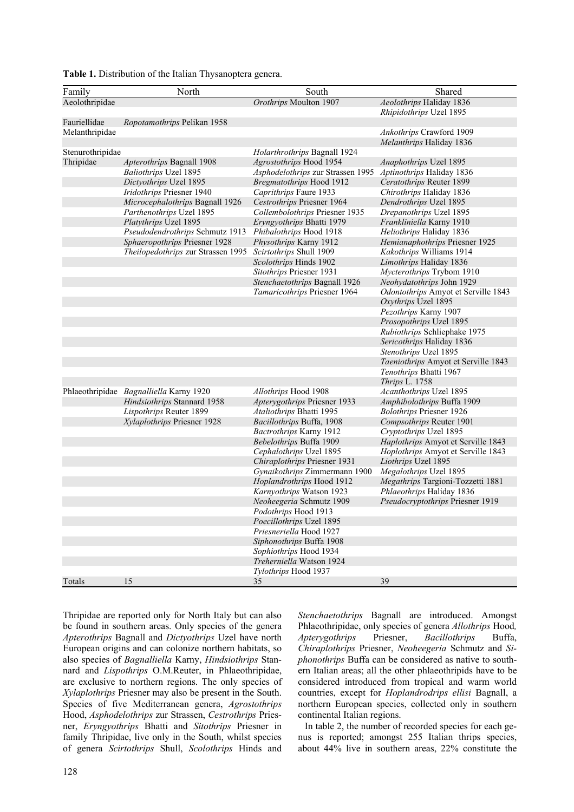| Table 1. Distribution of the Italian Thysanoptera genera. |  |
|-----------------------------------------------------------|--|
|-----------------------------------------------------------|--|

| Family           | North                                   | South                             | Shared                              |
|------------------|-----------------------------------------|-----------------------------------|-------------------------------------|
| Aeolothripidae   |                                         | Orothrips Moulton 1907            | Aeolothrips Haliday 1836            |
|                  |                                         |                                   | Rhipidothrips Uzel 1895             |
| Fauriellidae     | Ropotamothrips Pelikan 1958             |                                   |                                     |
| Melanthripidae   |                                         |                                   | Ankothrips Crawford 1909            |
|                  |                                         |                                   | Melanthrips Haliday 1836            |
| Stenurothripidae |                                         | Holarthrothrips Bagnall 1924      |                                     |
| Thripidae        | Apterothrips Bagnall 1908               | Agrostothrips Hood 1954           | Anaphothrips Uzel 1895              |
|                  | <b>Baliothrips Uzel 1895</b>            | Asphodelothrips zur Strassen 1995 | Aptinothrips Haliday 1836           |
|                  | Dictyothrips Uzel 1895                  | <b>Bregmatothrips Hood 1912</b>   | Ceratothrips Reuter 1899            |
|                  | Iridothrips Priesner 1940               | Caprithrips Faure 1933            | Chirothrips Haliday 1836            |
|                  | Microcephalothrips Bagnall 1926         | Cestrothrips Priesner 1964        | Dendrothrips Uzel 1895              |
|                  | Parthenothrips Uzel 1895                | Collembolothrips Priesner 1935    | Drepanothrips Uzel 1895             |
|                  | Platythrips Uzel 1895                   | Eryngyothrips Bhatti 1979         | Frankliniella Karny 1910            |
|                  |                                         |                                   |                                     |
|                  | Pseudodendrothrips Schmutz 1913         | Phibalothrips Hood 1918           | Heliothrips Haliday 1836            |
|                  | Sphaeropothrips Priesner 1928           | Physothrips Karny 1912            | Hemianaphothrips Priesner 1925      |
|                  | Theilopedothrips zur Strassen 1995      | Scirtothrips Shull 1909           | Kakothrips Williams 1914            |
|                  |                                         | Scolothrips Hinds 1902            | Limothrips Haliday 1836             |
|                  |                                         | Sitothrips Priesner 1931          | Mycterothrips Trybom 1910           |
|                  |                                         | Stenchaetothrips Bagnall 1926     | Neohydatothrips John 1929           |
|                  |                                         | Tamaricothrips Priesner 1964      | Odontothrips Amyot et Serville 1843 |
|                  |                                         |                                   | Oxythrips Uzel 1895                 |
|                  |                                         |                                   | Pezothrips Karny 1907               |
|                  |                                         |                                   | Prosopothrips Uzel 1895             |
|                  |                                         |                                   | Rubiothrips Schliephake 1975        |
|                  |                                         |                                   | Sericothrips Haliday 1836           |
|                  |                                         |                                   | Stenothrips Uzel 1895               |
|                  |                                         |                                   | Taeniothrips Amyot et Serville 1843 |
|                  |                                         |                                   | Tenothrips Bhatti 1967              |
|                  |                                         |                                   | Thrips L. 1758                      |
|                  | Phlaeothripidae Bagnalliella Karny 1920 | Allothrips Hood 1908              | Acanthothrips Uzel 1895             |
|                  | Hindsiothrips Stannard 1958             | Apterygothrips Priesner 1933      | Amphibolothrips Buffa 1909          |
|                  | Lispothrips Reuter 1899                 | Ataliothrips Bhatti 1995          | <b>Bolothrips Priesner 1926</b>     |
|                  | Xylaplothrips Priesner 1928             | Bacillothrips Buffa, 1908         | Compsothrips Reuter 1901            |
|                  |                                         | <b>Bactrothrips Karny 1912</b>    | Cryptothrips Uzel 1895              |
|                  |                                         | Bebelothrips Buffa 1909           | Haplothrips Amyot et Serville 1843  |
|                  |                                         | Cephalothrips Uzel 1895           | Hoplothrips Amyot et Serville 1843  |
|                  |                                         | Chiraplothrips Priesner 1931      | Liothrips Uzel 1895                 |
|                  |                                         | Gynaikothrips Zimmermann 1900     | Megalothrips Uzel 1895              |
|                  |                                         | Hoplandrothrips Hood 1912         | Megathrips Targioni-Tozzetti 1881   |
|                  |                                         | Karnyothrips Watson 1923          | Phlaeothrips Haliday 1836           |
|                  |                                         | Neoheegeria Schmutz 1909          | Pseudocryptothrips Priesner 1919    |
|                  |                                         | Podothrips Hood 1913              |                                     |
|                  |                                         | Poecillothrips Uzel 1895          |                                     |
|                  |                                         | Priesneriella Hood 1927           |                                     |
|                  |                                         | Siphonothrips Buffa 1908          |                                     |
|                  |                                         | Sophiothrips Hood 1934            |                                     |
|                  |                                         | Treherniella Watson 1924          |                                     |
|                  |                                         | Tylothrips Hood 1937              |                                     |
| Totals           | 15                                      | 35                                | 39                                  |
|                  |                                         |                                   |                                     |

Thripidae are reported only for North Italy but can also be found in southern areas. Only species of the genera *Apterothrips* Bagnall and *Dictyothrips* Uzel have north European origins and can colonize northern habitats, so also species of *Bagnalliella* Karny, *Hindsiothrips* Stannard and *Lispothrips* O.M.Reuter, in Phlaeothripidae, are exclusive to northern regions. The only species of *Xylaplothrips* Priesner may also be present in the South. Species of five Mediterranean genera, *Agrostothrips*  Hood, *Asphodelothrips* zur Strassen, *Cestrothrips* Priesner, *Eryngyothrips* Bhatti and *Sitothrips* Priesner in family Thripidae, live only in the South, whilst species of genera *Scirtothrips* Shull, *Scolothrips* Hinds and *Stenchaetothrips* Bagnall are introduced. Amongst Phlaeothripidae, only species of genera *Allothrips* Hood*, Apterygothrips* Priesner, *Bacillothrips* Buffa, *Chiraplothrips* Priesner, *Neoheegeria* Schmutz and *Siphonothrips* Buffa can be considered as native to southern Italian areas; all the other phlaeothripids have to be considered introduced from tropical and warm world countries, except for *Hoplandrodrips ellisi* Bagnall, a northern European species, collected only in southern continental Italian regions.

In table 2, the number of recorded species for each genus is reported; amongst 255 Italian thrips species, about 44% live in southern areas, 22% constitute the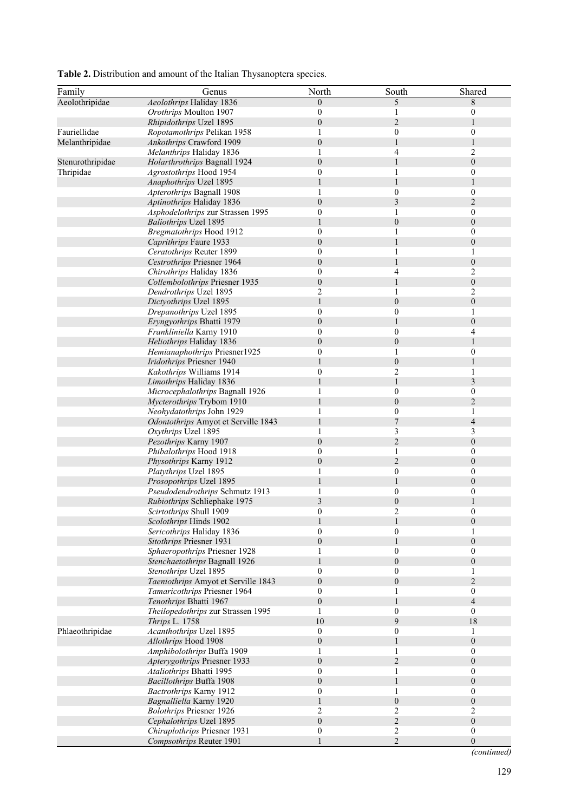| Family           | Genus                                                             | North                            | South                        | Shared                               |
|------------------|-------------------------------------------------------------------|----------------------------------|------------------------------|--------------------------------------|
| Aeolothripidae   | Aeolothrips Haliday 1836                                          | $\theta$                         | 5                            | 8                                    |
|                  | Orothrips Moulton 1907                                            | $\boldsymbol{0}$                 |                              | 0                                    |
|                  | Rhipidothrips Uzel 1895                                           | $\theta$                         | $\overline{2}$               | 1                                    |
| Fauriellidae     | Ropotamothrips Pelikan 1958                                       | 1                                | $\boldsymbol{0}$             | $\boldsymbol{0}$                     |
| Melanthripidae   | Ankothrips Crawford 1909                                          | $\boldsymbol{0}$                 | $\mathbf{1}$                 | 1                                    |
|                  | Melanthrips Haliday 1836                                          | 1                                | 4                            | 2                                    |
| Stenurothripidae | Holarthrothrips Bagnall 1924                                      | $\boldsymbol{0}$                 |                              | $\boldsymbol{0}$                     |
| Thripidae        | Agrostothrips Hood 1954                                           | $\mathbf{0}$                     | 1                            | $\boldsymbol{0}$                     |
|                  | Anaphothrips Uzel 1895                                            |                                  |                              | 1                                    |
|                  | Apterothrips Bagnall 1908                                         | 1                                | $\theta$                     | $\boldsymbol{0}$                     |
|                  | Aptinothrips Haliday 1836                                         | $\boldsymbol{0}$                 | 3                            | $\overline{2}$                       |
|                  | Asphodelothrips zur Strassen 1995<br><b>Baliothrips Uzel 1895</b> | $\theta$                         | 1<br>$\boldsymbol{0}$        | $\boldsymbol{0}$<br>$\boldsymbol{0}$ |
|                  | <b>Bregmatothrips Hood 1912</b>                                   | $\mathbf{0}$                     |                              | $\boldsymbol{0}$                     |
|                  | Caprithrips Faure 1933                                            | $\theta$                         |                              | $\boldsymbol{0}$                     |
|                  | Ceratothrips Reuter 1899                                          | $\mathbf{0}$                     |                              | 1                                    |
|                  | Cestrothrips Priesner 1964                                        | $\boldsymbol{0}$                 |                              | $\boldsymbol{0}$                     |
|                  | Chirothrips Haliday 1836                                          | $\mathbf{0}$                     | 4                            | 2                                    |
|                  | Collembolothrips Priesner 1935                                    | $\boldsymbol{0}$                 |                              | $\boldsymbol{0}$                     |
|                  | Dendrothrips Uzel 1895                                            | $\overline{2}$                   | 1                            | 2                                    |
|                  | Dictyothrips Uzel 1895                                            | 1                                | $\boldsymbol{0}$             | $\boldsymbol{0}$                     |
|                  | Drepanothrips Uzel 1895                                           | $\boldsymbol{0}$                 | $\boldsymbol{0}$             | 1                                    |
|                  | Eryngyothrips Bhatti 1979                                         | $\theta$                         |                              | $\boldsymbol{0}$                     |
|                  | Frankliniella Karny 1910                                          | $\mathbf{0}$                     | $\mathbf{0}$                 | 4                                    |
|                  | Heliothrips Haliday 1836                                          | $\boldsymbol{0}$                 | $\boldsymbol{0}$             | 1                                    |
|                  | Hemianaphothrips Priesner1925                                     | $\boldsymbol{0}$                 | 1                            | $\boldsymbol{0}$                     |
|                  | Iridothrips Priesner 1940                                         |                                  | $\boldsymbol{0}$             | 1                                    |
|                  | Kakothrips Williams 1914                                          | $\mathbf{0}$                     | 2                            | 1                                    |
|                  | Limothrips Haliday 1836                                           | 1                                | $\mathbf{1}$                 | 3                                    |
|                  | Microcephalothrips Bagnall 1926                                   | 1                                | $\theta$<br>$\boldsymbol{0}$ | $\boldsymbol{0}$<br>$\overline{c}$   |
|                  | Mycterothrips Trybom 1910<br>Neohydatothrips John 1929            |                                  | $\theta$                     | 1                                    |
|                  | Odontothrips Amyot et Serville 1843                               | 1                                | 7                            | $\overline{4}$                       |
|                  | Oxythrips Uzel 1895                                               | 1                                | 3                            | 3                                    |
|                  | Pezothrips Karny 1907                                             | $\mathbf{0}$                     | $\overline{2}$               | $\boldsymbol{0}$                     |
|                  | Phibalothrips Hood 1918                                           | $\boldsymbol{0}$                 | 1                            | $\boldsymbol{0}$                     |
|                  | Physothrips Karny 1912                                            | $\boldsymbol{0}$                 | $\mathbf{2}$                 | $\boldsymbol{0}$                     |
|                  | Platythrips Uzel 1895                                             | 1                                | $\boldsymbol{0}$             | $\boldsymbol{0}$                     |
|                  | Prosopothrips Uzel 1895                                           |                                  |                              | $\boldsymbol{0}$                     |
|                  | Pseudodendrothrips Schmutz 1913                                   |                                  | $\boldsymbol{0}$             | $\boldsymbol{0}$                     |
|                  | Rubiothrips Schliephake 1975                                      | $\mathfrak{Z}$                   | $\boldsymbol{0}$             | $\mathbf{1}$                         |
|                  | Scirtothrips Shull 1909                                           | $\mathbf{0}$                     | 2                            | 0                                    |
|                  | <i>Scolothrips</i> Hinds 1902                                     |                                  |                              | $\theta$                             |
|                  | Sericothrips Haliday 1836                                         | $\mathbf{0}$                     | $\boldsymbol{0}$             | 1                                    |
|                  | Sitothrips Priesner 1931                                          | $\theta$                         |                              | $\boldsymbol{0}$                     |
|                  | Sphaeropothrips Priesner 1928                                     | 1                                | $\mathbf{0}$                 | $\boldsymbol{0}$                     |
|                  | Stenchaetothrips Bagnall 1926                                     |                                  | $\boldsymbol{0}$             | $\boldsymbol{0}$                     |
|                  | Stenothrips Uzel 1895                                             | $\mathbf{0}$                     | $\mathbf{0}$                 | 1                                    |
|                  | Taeniothrips Amyot et Serville 1843                               | $\boldsymbol{0}$                 | $\boldsymbol{0}$             | $\boldsymbol{2}$                     |
|                  | Tamaricothrips Priesner 1964                                      | $\theta$                         | 1                            | $\boldsymbol{0}$                     |
|                  | Tenothrips Bhatti 1967                                            | $\boldsymbol{0}$                 |                              | $\overline{4}$                       |
|                  | Theilopedothrips zur Strassen 1995                                | 1                                | $\theta$                     | $\mathbf{0}$                         |
|                  | Thrips L. 1758                                                    | 10                               | 9                            | 18                                   |
| Phlaeothripidae  | Acanthothrips Uzel 1895                                           | $\boldsymbol{0}$                 | $\mathbf{0}$                 | 1                                    |
|                  | Allothrips Hood 1908                                              | $\boldsymbol{0}$                 |                              | $\boldsymbol{0}$                     |
|                  | Amphibolothrips Buffa 1909                                        | 1                                |                              | $\boldsymbol{0}$                     |
|                  | Apterygothrips Priesner 1933                                      | $\boldsymbol{0}$<br>$\mathbf{0}$ | $\overline{c}$               | $\boldsymbol{0}$<br>$\boldsymbol{0}$ |
|                  | Ataliothrips Bhatti 1995<br>Bacillothrips Buffa 1908              | $\theta$                         |                              | $\boldsymbol{0}$                     |
|                  | Bactrothrips Karny 1912                                           | $\boldsymbol{0}$                 | 1                            | $\boldsymbol{0}$                     |
|                  | Bagnalliella Karny 1920                                           |                                  | $\boldsymbol{0}$             | $\boldsymbol{0}$                     |
|                  | <b>Bolothrips Priesner 1926</b>                                   | 2                                | 2                            | 2                                    |
|                  | Cephalothrips Uzel 1895                                           | $\boldsymbol{0}$                 | $\overline{c}$               | $\boldsymbol{0}$                     |
|                  | Chiraplothrips Priesner 1931                                      | $\mathbf{0}$                     | $\overline{2}$               | $\boldsymbol{0}$                     |
|                  | Compsothrips Reuter 1901                                          |                                  | $\overline{c}$               | $\boldsymbol{0}$                     |
|                  |                                                                   |                                  |                              |                                      |

**Table 2.** Distribution and amount of the Italian Thysanoptera species.

*(continued)*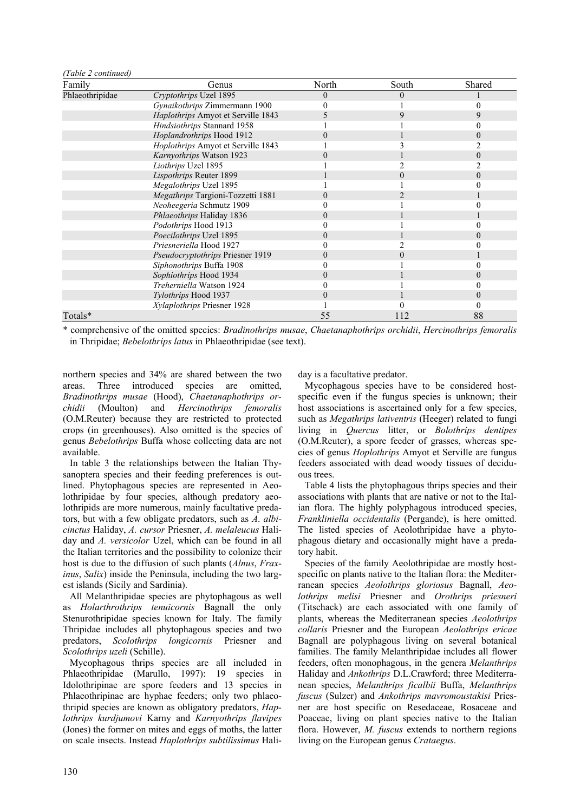| Family          | Genus                              | North | South    | <b>Shared</b> |
|-----------------|------------------------------------|-------|----------|---------------|
| Phlaeothripidae | Cryptothrips Uzel 1895             | 0     | $\Omega$ |               |
|                 | Gynaikothrips Zimmermann 1900      |       |          |               |
|                 | Haplothrips Amyot et Serville 1843 |       |          | 9             |
|                 | Hindsiothrips Stannard 1958        |       |          |               |
|                 | Hoplandrothrips Hood 1912          |       |          | $\theta$      |
|                 | Hoplothrips Amyot et Serville 1843 |       |          |               |
|                 | Karnyothrips Watson 1923           |       |          | $\theta$      |
|                 | Liothrips Uzel 1895                |       |          |               |
|                 | Lispothrips Reuter 1899            |       |          |               |
|                 | Megalothrips Uzel 1895             |       |          |               |
|                 | Megathrips Targioni-Tozzetti 1881  |       |          |               |
|                 | Neoheegeria Schmutz 1909           |       |          |               |
|                 | Phlaeothrips Haliday 1836          |       |          |               |
|                 | Podothrips Hood 1913               |       |          |               |
|                 | Poecilothrips Uzel 1895            |       |          |               |
|                 | Priesneriella Hood 1927            |       |          |               |
|                 | Pseudocryptothrips Priesner 1919   |       |          |               |
|                 | Siphonothrips Buffa 1908           |       |          |               |
|                 | Sophiothrips Hood 1934             |       |          |               |
|                 | Treherniella Watson 1924           |       |          |               |
|                 | Tylothrips Hood 1937               |       |          | $\theta$      |
|                 | Xylaplothrips Priesner 1928        |       |          |               |
| Totals*         |                                    | 55    | 112      | 88            |

\* comprehensive of the omitted species: *Bradinothrips musae*, *Chaetanaphothrips orchidii*, *Hercinothrips femoralis* in Thripidae; *Bebelothrips latus* in Phlaeothripidae (see text).

northern species and 34% are shared between the two areas. Three introduced species are omitted, *Bradinothrips musae* (Hood), *Chaetanaphothrips orchidii* (Moulton) and *Hercinothrips femoralis* (O.M.Reuter) because they are restricted to protected crops (in greenhouses). Also omitted is the species of genus *Bebelothrips* Buffa whose collecting data are not available.

*(Table 2 continued)* 

In table 3 the relationships between the Italian Thysanoptera species and their feeding preferences is outlined. Phytophagous species are represented in Aeolothripidae by four species, although predatory aeolothripids are more numerous, mainly facultative predators, but with a few obligate predators, such as *A*. *albicinctus* Haliday, *A. cursor* Priesner, *A. melaleucus* Haliday and *A. versicolor* Uzel, which can be found in all the Italian territories and the possibility to colonize their host is due to the diffusion of such plants (*Alnus*, *Fraxinus*, *Salix*) inside the Peninsula, including the two largest islands (Sicily and Sardinia).

All Melanthripidae species are phytophagous as well as *Holarthrothrips tenuicornis* Bagnall the only Stenurothripidae species known for Italy. The family Thripidae includes all phytophagous species and two predators, *Scolothrips longicornis* Priesner and *Scolothrips uzeli* (Schille).

Mycophagous thrips species are all included in Phlaeothripidae (Marullo, 1997): 19 species in Idolothripinae are spore feeders and 13 species in Phlaeothripinae are hyphae feeders; only two phlaeothripid species are known as obligatory predators, *Haplothrips kurdjumovi* Karny and *Karnyothrips flavipes* (Jones) the former on mites and eggs of moths, the latter on scale insects. Instead *Haplothrips subtilissimus* Haliday is a facultative predator.

Mycophagous species have to be considered hostspecific even if the fungus species is unknown; their host associations is ascertained only for a few species. such as *Megathrips lativentris* (Heeger) related to fungi living in *Quercus* litter, or *Bolothrips dentipes* (O.M.Reuter), a spore feeder of grasses, whereas species of genus *Hoplothrips* Amyot et Serville are fungus feeders associated with dead woody tissues of deciduous trees.

Table 4 lists the phytophagous thrips species and their associations with plants that are native or not to the Italian flora. The highly polyphagous introduced species, *Frankliniella occidentalis* (Pergande), is here omitted. The listed species of Aeolothripidae have a phytophagous dietary and occasionally might have a predatory habit.

Species of the family Aeolothripidae are mostly hostspecific on plants native to the Italian flora: the Mediterranean species *Aeolothrips gloriosus* Bagnall, *Aeolothrips melisi* Priesner and *Orothrips priesneri* (Titschack) are each associated with one family of plants, whereas the Mediterranean species *Aeolothrips collaris* Priesner and the European *Aeolothrips ericae* Bagnall are polyphagous living on several botanical families. The family Melanthripidae includes all flower feeders, often monophagous, in the genera *Melanthrips* Haliday and *Ankothrips* D.L.Crawford; three Mediterranean species, *Melanthrips ficalbii* Buffa, *Melanthrips fuscus* (Sulzer) and *Ankothrips mavromoustakisi* Priesner are host specific on Resedaceae, Rosaceae and Poaceae, living on plant species native to the Italian flora. However, *M. fuscus* extends to northern regions living on the European genus *Crataegus*.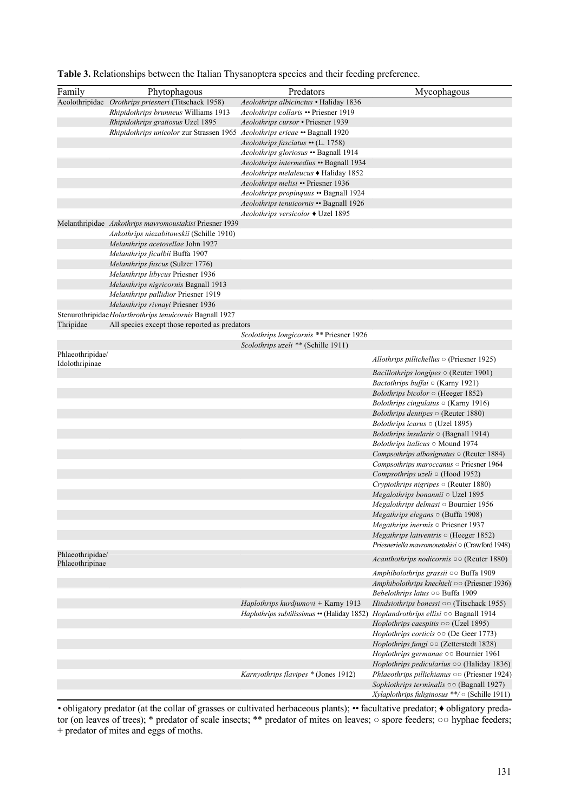| Family           | Phytophagous                                                               | Predators                                    | Mycophagous                                                 |
|------------------|----------------------------------------------------------------------------|----------------------------------------------|-------------------------------------------------------------|
|                  |                                                                            |                                              |                                                             |
|                  | Aeolothripidae Orothrips priesneri (Titschack 1958)                        | Aeolothrips albicinctus • Haliday 1836       |                                                             |
|                  | Rhipidothrips brunneus Williams 1913                                       | Aeolothrips collaris • Priesner 1919         |                                                             |
|                  | Rhipidothrips gratiosus Uzel 1895                                          | Aeolothrips cursor . Priesner 1939           |                                                             |
|                  | Rhipidothrips unicolor zur Strassen 1965 Aeolothrips ericae • Bagnall 1920 |                                              |                                                             |
|                  |                                                                            | Aeolothrips fasciatus •• (L. 1758)           |                                                             |
|                  |                                                                            | Aeolothrips gloriosus • Bagnall 1914         |                                                             |
|                  |                                                                            | Aeolothrips intermedius • Bagnall 1934       |                                                             |
|                  |                                                                            | <i>Aeolothrips melaleucus</i> ♦ Haliday 1852 |                                                             |
|                  |                                                                            | Aeolothrips melisi • Priesner 1936           |                                                             |
|                  |                                                                            | Aeolothrips propinquus • Bagnall 1924        |                                                             |
|                  |                                                                            | Aeolothrips tenuicornis • Bagnall 1926       |                                                             |
|                  |                                                                            | Aeolothrips versicolor ♦ Uzel 1895           |                                                             |
|                  | Melanthripidae Ankothrips mavromoustakisi Priesner 1939                    |                                              |                                                             |
|                  | Ankothrips niezabitowskii (Schille 1910)                                   |                                              |                                                             |
|                  | Melanthrips acetosellae John 1927                                          |                                              |                                                             |
|                  | Melanthrips ficalbii Buffa 1907                                            |                                              |                                                             |
|                  | Melanthrips fuscus (Sulzer 1776)                                           |                                              |                                                             |
|                  | Melanthrips libycus Priesner 1936                                          |                                              |                                                             |
|                  | Melanthrips nigricornis Bagnall 1913                                       |                                              |                                                             |
|                  | Melanthrips pallidior Priesner 1919                                        |                                              |                                                             |
|                  | Melanthrips rivnayi Priesner 1936                                          |                                              |                                                             |
|                  | Stenurothripidae Holarthrothrips tenuicornis Bagnall 1927                  |                                              |                                                             |
| Thripidae        | All species except those reported as predators                             |                                              |                                                             |
|                  |                                                                            | Scolothrips longicornis ** Priesner 1926     |                                                             |
|                  |                                                                            | Scolothrips uzeli ** (Schille 1911)          |                                                             |
| Phlaeothripidae/ |                                                                            |                                              |                                                             |
| Idolothripinae   |                                                                            |                                              | Allothrips pillichellus $\circ$ (Priesner 1925)             |
|                  |                                                                            |                                              | <i>Bacillothrips longipes</i> $\circ$ (Reuter 1901)         |
|                  |                                                                            |                                              | Bactothrips buffai $\circ$ (Karny 1921)                     |
|                  |                                                                            |                                              | Bolothrips bicolor $\circ$ (Heeger 1852)                    |
|                  |                                                                            |                                              | <i>Bolothrips cingulatus</i> $\circ$ (Karny 1916)           |
|                  |                                                                            |                                              | <i>Bolothrips dentipes</i> $\circ$ (Reuter 1880)            |
|                  |                                                                            |                                              | <i>Bolothrips icarus</i> $\circ$ (Uzel 1895)                |
|                  |                                                                            |                                              | Bolothrips insularis $\circ$ (Bagnall 1914)                 |
|                  |                                                                            |                                              | Bolothrips italicus $\circ$ Mound 1974                      |
|                  |                                                                            |                                              | Compsothrips albosignatus $\circ$ (Reuter 1884)             |
|                  |                                                                            |                                              | Compsothrips maroccanus o Priesner 1964                     |
|                  |                                                                            |                                              | Compsothrips uzeli $\circ$ (Hood 1952)                      |
|                  |                                                                            |                                              | Cryptothrips nigripes $\circ$ (Reuter 1880)                 |
|                  |                                                                            |                                              | Megalothrips bonannii o Uzel 1895                           |
|                  |                                                                            |                                              | Megalothrips delmasi $\circ$ Bournier 1956                  |
|                  |                                                                            |                                              | $Megathrips$ elegans $\circ$ (Buffa 1908)                   |
|                  |                                                                            |                                              | <i>Megathrips inermis</i> $\circ$ Priesner 1937             |
|                  |                                                                            |                                              | Megathrips lativentris $\circ$ (Heeger 1852)                |
|                  |                                                                            |                                              | Priesneriella mavromoustakisi o (Crawford 1948)             |
| Phlaeothripidae/ |                                                                            |                                              |                                                             |
| Phlaeothripinae  |                                                                            |                                              | <i>Acanthothrips nodicornis</i> $\circ \circ$ (Reuter 1880) |
|                  |                                                                            |                                              | Amphibolothrips grassii 00 Buffa 1909                       |
|                  |                                                                            |                                              | Amphibolothrips knechteli oo (Priesner 1936)                |
|                  |                                                                            |                                              | Bebelothrips latus 00 Buffa 1909                            |
|                  |                                                                            | Haplothrips kurdjumovi + Karny 1913          | Hindsiothrips bonessi $\circ \circ$ (Titschack 1955)        |
|                  |                                                                            | Haplothrips subtilissimus •• (Haliday 1852)  | Hoplandrothrips ellisi $\circ \circ$ Bagnall 1914           |
|                  |                                                                            |                                              | Hoplothrips caespitis $\circ \circ$ (Uzel 1895)             |
|                  |                                                                            |                                              | <i>Hoplothrips corticis</i> $\circ \circ$ (De Geer 1773)    |
|                  |                                                                            |                                              | Hoplothrips fungi oo (Zetterstedt 1828)                     |
|                  |                                                                            |                                              | Hoplothrips germanae oo Bournier 1961                       |
|                  |                                                                            |                                              | Hoplothrips pedicularius $\circ \circ$ (Haliday 1836)       |
|                  |                                                                            | Karnyothrips flavipes * (Jones 1912)         | Phlaeothrips pillichianus $\circ \circ$ (Priesner 1924)     |
|                  |                                                                            |                                              | Sophiothrips terminalis $\circ \circ$ (Bagnall 1927)        |
|                  |                                                                            |                                              | Xylaplothrips fuliginosus **/ $\circ$ (Schille 1911)        |
|                  |                                                                            |                                              |                                                             |

|  |  | Table 3. Relationships between the Italian Thysanoptera species and their feeding preference. |
|--|--|-----------------------------------------------------------------------------------------------|
|  |  |                                                                                               |

• obligatory predator (at the collar of grasses or cultivated herbaceous plants); •• facultative predator; • obligatory predator (on leaves of trees); \* predator of scale insects; \*\* predator of mites on leaves; ○ spore feeders; ○○ hyphae feeders; + predator of mites and eggs of moths.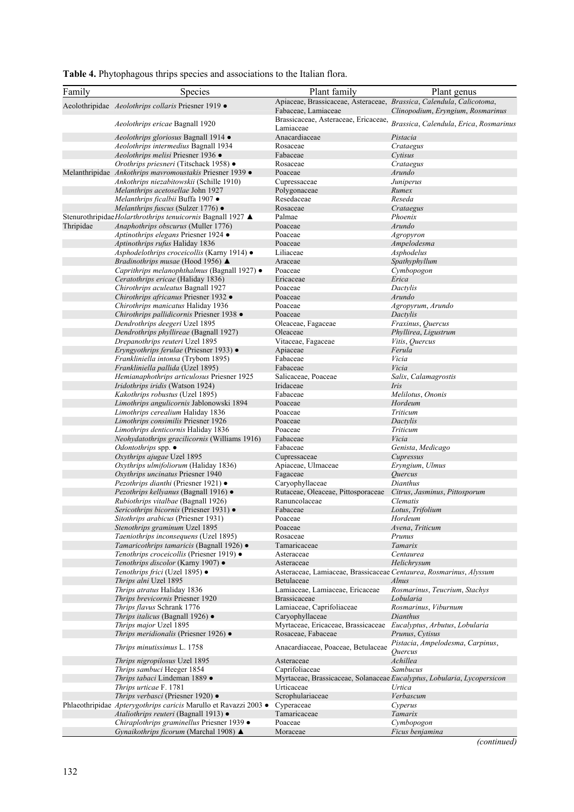| Table 4. Phytophagous thrips species and associations to the Italian flora. |  |  |  |
|-----------------------------------------------------------------------------|--|--|--|
|                                                                             |  |  |  |

| Family    | Species                                                                              | Plant family                                                         | Plant genus                                                             |
|-----------|--------------------------------------------------------------------------------------|----------------------------------------------------------------------|-------------------------------------------------------------------------|
|           |                                                                                      | Apiaceae, Brassicaceae, Asteraceae, Brassica, Calendula, Calicotoma, |                                                                         |
|           | Aeolothripidae Aeolothrips collaris Priesner 1919 ·                                  | Fabaceae, Lamiaceae                                                  | Clinopodium, Eryngium, Rosmarinus                                       |
|           |                                                                                      | Brassicaceae, Asteraceae, Ericaceae,                                 |                                                                         |
|           | <i>Aeolothrips ericae</i> Bagnall 1920                                               | Lamiaceae                                                            | Brassica, Calendula, Erica, Rosmarinus                                  |
|           | Aeolothrips gloriosus Bagnall 1914 ·                                                 | Anacardiaceae                                                        | Pistacia                                                                |
|           | Aeolothrips intermedius Bagnall 1934                                                 | Rosaceae                                                             | Crataegus                                                               |
|           | Aeolothrips melisi Priesner 1936 •                                                   | Fabaceae                                                             | Cytisus                                                                 |
|           | Orothrips priesneri (Titschack 1958) ·                                               | Rosaceae                                                             | Crataegus                                                               |
|           | Melanthripidae Ankothrips mavromoustakis Priesner 1939 ·                             | Poaceae                                                              | Arundo                                                                  |
|           | <i>Ankothrips niezabitowskii</i> (Schille 1910)<br>Melanthrips acetosellae John 1927 | Cupressaceae<br>Polygonaceae                                         | Juniperus<br>Rumex                                                      |
|           | Melanthrips ficalbii Buffa 1907 ●                                                    | Resedaceae                                                           | Reseda                                                                  |
|           | Melanthrips fuscus (Sulzer 1776) ·                                                   | Rosaceae                                                             | Crataegus                                                               |
|           | Stenurothripidae Holarthrothrips tenuicornis Bagnall 1927 ▲                          | Palmae                                                               | Phoenix                                                                 |
| Thripidae | Anaphothrips obscurus (Muller 1776)                                                  | Poaceae                                                              | Arundo                                                                  |
|           | Aptinothrips elegans Priesner 1924 ·                                                 | Poaceae                                                              | Agropyron                                                               |
|           | Aptinothrips rufus Haliday 1836                                                      | Poaceae                                                              | Ampelodesma                                                             |
|           | Asphodelothrips croceicollis (Karny 1914) ●                                          | Liliaceae                                                            | Asphodelus                                                              |
|           | <i>Bradinothrips musae</i> (Hood 1956) ▲                                             | Araceae                                                              | Spathyphyllum                                                           |
|           | Caprithrips melanophthalmus (Bagnall 1927) ·                                         | Poaceae                                                              | Cymbopogon                                                              |
|           | Ceratothrips ericae (Haliday 1836)<br>Chirothrips aculeatus Bagnall 1927             | Ericaceae<br>Poaceae                                                 | Erica<br>Dactylis                                                       |
|           | Chirothrips africanus Priesner 1932 ·                                                | Poaceae                                                              | Arundo                                                                  |
|           | Chirothrips manicatus Haliday 1936                                                   | Poaceae                                                              | Agropyrum, Arundo                                                       |
|           | Chirothrips pallidicornis Priesner 1938 ·                                            | Poaceae                                                              | Dactylis                                                                |
|           | Dendrothrips deegeri Uzel 1895                                                       | Oleaceae, Fagaceae                                                   | Fraxinus, Quercus                                                       |
|           | Dendrothrips phyllireae (Bagnall 1927)                                               | Oleaceae                                                             | Phyllirea, Ligustrum                                                    |
|           | Drepanothrips reuteri Uzel 1895                                                      | Vitaceae, Fagaceae                                                   | Vitis, Quercus                                                          |
|           | Eryngyothrips ferulae (Priesner 1933) •                                              | Apiaceae                                                             | Ferula                                                                  |
|           | <i>Frankliniella intonsa</i> (Trybom 1895)                                           | Fabaceae                                                             | Vicia                                                                   |
|           | Frankliniella pallida (Uzel 1895)                                                    | Fabaceae                                                             | Vicia                                                                   |
|           | Hemianaphothrips articulosus Priesner 1925                                           | Salicaceae, Poaceae                                                  | Salix, Calamagrostis                                                    |
|           | Iridothrips iridis (Watson 1924)<br>Kakothrips robustus (Uzel 1895)                  | Iridaceae                                                            | Iris<br>Melilotus, Ononis                                               |
|           | Limothrips angulicornis Jablonowski 1894                                             | Fabaceae<br>Poaceae                                                  | Hordeum                                                                 |
|           | Limothrips cerealium Haliday 1836                                                    | Poaceae                                                              | Triticum                                                                |
|           | Limothrips consimilis Priesner 1926                                                  | Poaceae                                                              | Dactylis                                                                |
|           | Limothrips denticornis Haliday 1836                                                  | Poaceae                                                              | Triticum                                                                |
|           | Neohydatothrips gracilicornis (Williams 1916)                                        | Fabaceae                                                             | Vicia                                                                   |
|           | <i>Odontothrips</i> spp. $\bullet$                                                   | Fabaceae                                                             | Genista, Medicago                                                       |
|           | Oxythrips ajugae Uzel 1895                                                           | Cupressaceae                                                         | Cupressus                                                               |
|           | Oxythrips ulmifoliorum (Haliday 1836)                                                | Apiaceae, Ulmaceae                                                   | Eryngium, Ulmus                                                         |
|           | Oxythrips uncinatus Priesner 1940                                                    | Fagaceae                                                             | <i><u>Ouercus</u></i>                                                   |
|           | Pezothrips dianthi (Priesner 1921) •                                                 | Caryophyllaceae                                                      | Dianthus                                                                |
|           | Pezothrips kellyanus (Bagnall 1916) ·<br>Rubiothrips vitalbae (Bagnall 1926)         | Rutaceae, Oleaceae, Pittosporaceae<br>Ranuncolaceae                  | Citrus, Jasminus, Pittosporum<br>Clematis                               |
|           | Sericothrips bicornis (Priesner 1931) ·                                              | Fabaceae                                                             | Lotus, Trifolium                                                        |
|           | Sitothrips arabicus (Priesner 1931)                                                  | Poaceae                                                              | Hordeum                                                                 |
|           | Stenothrips graminum Uzel 1895                                                       | Poaceae                                                              | Avena, Triticum                                                         |
|           | Taeniothrips inconsequens (Uzel 1895)                                                | Rosaceae                                                             | Prunus                                                                  |
|           | Tamaricothrips tamaricis (Bagnall 1926) ·                                            | Tamaricaceae                                                         | Tamarix                                                                 |
|           | Tenothrips croceicollis (Priesner 1919) ·                                            | Asteraceae                                                           | Centaurea                                                               |
|           | Tenothrips discolor (Karny 1907) ●                                                   | Asteraceae                                                           | Helichrysum                                                             |
|           | Tenothrips frici (Uzel 1895) ●                                                       | Asteraceae, Lamiaceae, Brassicaceae Centaurea, Rosmarinus, Alyssum   |                                                                         |
|           | Thrips alni Uzel 1895                                                                | Betulaceae<br>Lamiaceae, Lamiaceae, Ericaceae                        | <b>Alnus</b><br>Rosmarinus, Teucrium, Stachys                           |
|           | Thrips atratus Haliday 1836                                                          | <b>Brassicaceae</b>                                                  | Lobularia                                                               |
|           | Thrips brevicornis Priesner 1920<br>Thrips flavus Schrank 1776                       | Lamiaceae, Caprifoliaceae                                            | Rosmarinus, Viburnum                                                    |
|           | Thrips italicus (Bagnall 1926) ·                                                     | Caryophyllaceae                                                      | Dianthus                                                                |
|           | Thrips major Uzel 1895                                                               | Myrtaceae, Ericaceae, Brassicaceae                                   | Eucalyptus, Arbutus, Lobularia                                          |
|           | <i>Thrips meridionalis</i> (Priesner 1926) $\bullet$                                 | Rosaceae, Fabaceae                                                   | Prunus, Cytisus                                                         |
|           | Thrips minutissimus L. 1758                                                          | Anacardiaceae, Poaceae, Betulaceae                                   | Pistacia, Ampelodesma, Carpinus,<br>Ouercus                             |
|           | <i>Thrips nigropilosus</i> Uzel 1895                                                 | Asteraceae                                                           | Achillea                                                                |
|           | Thrips sambuci Heeger 1854                                                           | Caprifoliaceae                                                       | Sambucus                                                                |
|           | Thrips tabaci Lindeman 1889 ·                                                        |                                                                      | Myrtaceae, Brassicaceae, Solanaceae Eucalyptus, Lobularia, Lycopersicon |
|           | Thrips urticae F. 1781                                                               | Urticaceae                                                           | Urtica                                                                  |
|           | Thrips verbasci (Priesner 1920) ·                                                    | Scrophulariaceae                                                     | Verbascum                                                               |
|           | Phlaeothripidae Apterygothrips caricis Marullo et Ravazzi 2003 ·                     | Cyperaceae                                                           | Cyperus                                                                 |
|           | Ataliothrips reuteri (Bagnall 1913) •                                                | Tamaricaceae                                                         | Tamarix                                                                 |
|           | Chiraplothrips graminellus Priesner 1939 ·                                           | Poaceae                                                              | Cymbopogon                                                              |
|           | Gynaikothrips ficorum (Marchal 1908) ▲                                               | Moraceae                                                             | Ficus benjamina                                                         |

*(continued)*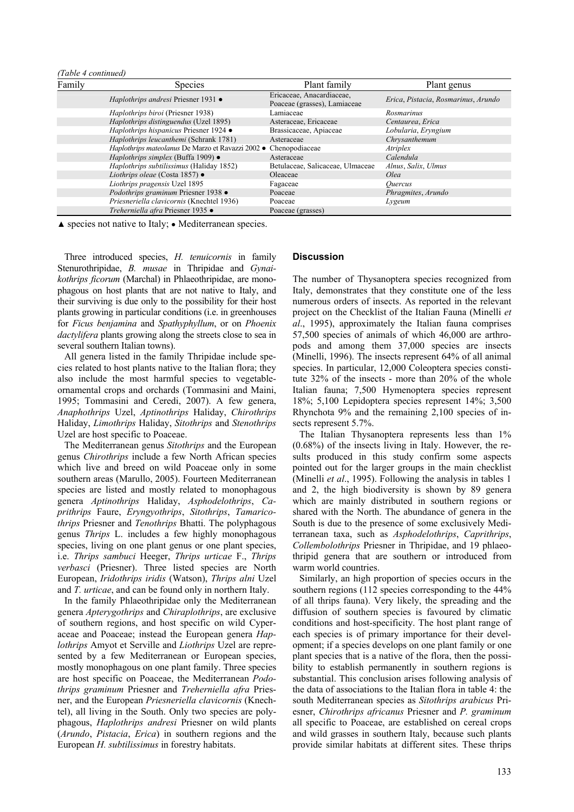| (Table 4 continued) |                                                   |                                                           |                                     |
|---------------------|---------------------------------------------------|-----------------------------------------------------------|-------------------------------------|
| Family              | <b>Species</b>                                    | Plant family                                              | Plant genus                         |
|                     | Haplothrips andresi Priesner 1931 •               | Ericaceae, Anacardiaceae,<br>Poaceae (grasses), Lamiaceae | Erica, Pistacia, Rosmarinus, Arundo |
|                     | Haplothrips biroi (Priesner 1938)                 | Lamiaceae                                                 | Rosmarinus                          |
|                     | Haplothrips distinguendus (Uzel 1895)             | Asteraceae, Ericaceae                                     | Centaurea, Erica                    |
|                     | Haplothrips hispanicus Priesner 1924 ·            | Brassicaceae, Apiaceae                                    | Lobularia, Eryngium                 |
|                     | Haplothrips leucanthemi (Schrank 1781)            | Asteraceae                                                | Chrysanthemum                       |
|                     | Haplothrips mateolanus De Marzo et Ravazzi 2002 · | Chenopodiaceae                                            | Atriplex                            |
|                     | Haplothrips simplex (Buffa 1909) $\bullet$        | Asteraceae                                                | Calendula                           |
|                     | Haplothrips subtilissimus (Haliday 1852)          | Betulaceae, Salicaceae, Ulmaceae                          | Alnus, Salix, Ulmus                 |
|                     | Liothrips oleae (Costa 1857) $\bullet$            | Oleaceae                                                  | Olea                                |
|                     | Liothrips pragensis Uzel 1895                     | Fagaceae                                                  | <i><u>Ouercus</u></i>               |
|                     | Podothrips graminum Priesner 1938 ·               | Poaceae                                                   | Phragmites, Arundo                  |
|                     | Priesneriella clavicornis (Knechtel 1936)         | Poaceae                                                   | Lygeum                              |
|                     | Treherniella afra Priesner 1935 ·                 | Poaceae (grasses)                                         |                                     |

▲ species not native to Italy; ● Mediterranean species.

Three introduced species, *H. tenuicornis* in family Stenurothripidae, *B. musae* in Thripidae and *Gynaikothrips ficorum* (Marchal) in Phlaeothripidae, are monophagous on host plants that are not native to Italy, and their surviving is due only to the possibility for their host plants growing in particular conditions (i.e. in greenhouses for *Ficus benjamina* and *Spathyphyllum*, or on *Phoenix dactylifera* plants growing along the streets close to sea in several southern Italian towns).

All genera listed in the family Thripidae include species related to host plants native to the Italian flora; they also include the most harmful species to vegetableornamental crops and orchards (Tommasini and Maini, 1995; Tommasini and Ceredi, 2007). A few genera, *Anaphothrips* Uzel, *Aptinothrips* Haliday, *Chirothrips* Haliday, *Limothrips* Haliday, *Sitothrips* and *Stenothrips* Uzel are host specific to Poaceae.

The Mediterranean genus *Sitothrips* and the European genus *Chirothrips* include a few North African species which live and breed on wild Poaceae only in some southern areas (Marullo, 2005). Fourteen Mediterranean species are listed and mostly related to monophagous genera *Aptinothrips* Haliday, *Asphodelothrips*, *Caprithrips* Faure, *Eryngyothrips*, *Sitothrips*, *Tamaricothrips* Priesner and *Tenothrips* Bhatti. The polyphagous genus *Thrips* L. includes a few highly monophagous species, living on one plant genus or one plant species, i.e. *Thrips sambuci* Heeger, *Thrips urticae* F., *Thrips verbasci* (Priesner). Three listed species are North European, *Iridothrips iridis* (Watson), *Thrips alni* Uzel and *T. urticae*, and can be found only in northern Italy.

In the family Phlaeothripidae only the Mediterranean genera *Apterygothrips* and *Chiraplothrips*, are exclusive of southern regions, and host specific on wild Cyperaceae and Poaceae; instead the European genera *Haplothrips* Amyot et Serville and *Liothrips* Uzel are represented by a few Mediterranean or European species, mostly monophagous on one plant family. Three species are host specific on Poaceae, the Mediterranean *Podothrips graminum* Priesner and *Treherniella afra* Priesner, and the European *Priesneriella clavicornis* (Knechtel), all living in the South. Only two species are polyphagous, *Haplothrips andresi* Priesner on wild plants (*Arundo*, *Pistacia*, *Erica*) in southern regions and the European *H. subtilissimus* in forestry habitats.

## **Discussion**

The number of Thysanoptera species recognized from Italy, demonstrates that they constitute one of the less numerous orders of insects. As reported in the relevant project on the Checklist of the Italian Fauna (Minelli *et al*., 1995), approximately the Italian fauna comprises 57,500 species of animals of which 46,000 are arthropods and among them 37,000 species are insects (Minelli, 1996). The insects represent 64% of all animal species. In particular, 12,000 Coleoptera species constitute 32% of the insects - more than 20% of the whole Italian fauna; 7,500 Hymenoptera species represent 18%; 5,100 Lepidoptera species represent 14%; 3,500 Rhynchota 9% and the remaining 2,100 species of insects represent 5.7%.

The Italian Thysanoptera represents less than 1% (0.68%) of the insects living in Italy. However, the results produced in this study confirm some aspects pointed out for the larger groups in the main checklist (Minelli *et al*., 1995). Following the analysis in tables 1 and 2, the high biodiversity is shown by 89 genera which are mainly distributed in southern regions or shared with the North. The abundance of genera in the South is due to the presence of some exclusively Mediterranean taxa, such as *Asphodelothrips*, *Caprithrips*, *Collembolothrips* Priesner in Thripidae, and 19 phlaeothripid genera that are southern or introduced from warm world countries.

Similarly, an high proportion of species occurs in the southern regions (112 species corresponding to the  $44\%$ of all thrips fauna). Very likely, the spreading and the diffusion of southern species is favoured by climatic conditions and host-specificity. The host plant range of each species is of primary importance for their development; if a species develops on one plant family or one plant species that is a native of the flora, then the possibility to establish permanently in southern regions is substantial. This conclusion arises following analysis of the data of associations to the Italian flora in table 4: the south Mediterranean species as *Sitothrips arabicus* Priesner, *Chirothrips africanus* Priesner and *P. graminum* all specific to Poaceae, are established on cereal crops and wild grasses in southern Italy, because such plants provide similar habitats at different sites. These thrips